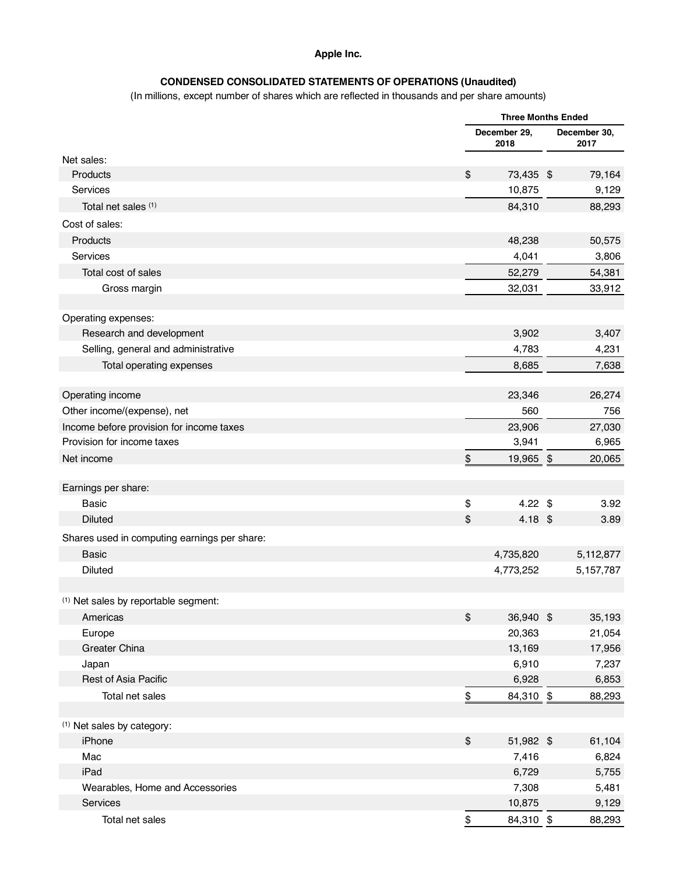#### **Apple Inc.**

## **CONDENSED CONSOLIDATED STATEMENTS OF OPERATIONS (Unaudited)**

(In millions, except number of shares which are reflected in thousands and per share amounts)

|                                                 |                  | <b>Three Months Ended</b> |  |                      |
|-------------------------------------------------|------------------|---------------------------|--|----------------------|
|                                                 |                  | December 29,<br>2018      |  | December 30,<br>2017 |
| Net sales:                                      |                  |                           |  |                      |
| Products                                        | \$               | 73,435 \$                 |  | 79,164               |
| Services                                        |                  | 10,875                    |  | 9,129                |
| Total net sales (1)                             |                  | 84,310                    |  | 88,293               |
| Cost of sales:                                  |                  |                           |  |                      |
| Products                                        |                  | 48,238                    |  | 50,575               |
| Services                                        |                  | 4,041                     |  | 3,806                |
| Total cost of sales                             |                  | 52,279                    |  | 54,381               |
| Gross margin                                    |                  | 32,031                    |  | 33,912               |
|                                                 |                  |                           |  |                      |
| Operating expenses:                             |                  |                           |  |                      |
| Research and development                        |                  | 3,902                     |  | 3,407                |
| Selling, general and administrative             |                  | 4,783                     |  | 4,231                |
| Total operating expenses                        |                  | 8,685                     |  | 7,638                |
|                                                 |                  |                           |  |                      |
| Operating income                                |                  | 23,346                    |  | 26,274               |
| Other income/(expense), net                     |                  | 560                       |  | 756                  |
| Income before provision for income taxes        |                  | 23,906                    |  | 27,030               |
| Provision for income taxes                      |                  | 3,941                     |  | 6,965                |
| Net income                                      | \$               | 19,965 \$                 |  | 20,065               |
|                                                 |                  |                           |  |                      |
| Earnings per share:                             |                  |                           |  |                      |
| <b>Basic</b>                                    | \$               | $4.22$ \$                 |  | 3.92                 |
| <b>Diluted</b>                                  | \$               | 4.18 \$                   |  | 3.89                 |
| Shares used in computing earnings per share:    |                  |                           |  |                      |
| <b>Basic</b>                                    |                  | 4,735,820                 |  | 5,112,877            |
| <b>Diluted</b>                                  |                  | 4,773,252                 |  | 5,157,787            |
|                                                 |                  |                           |  |                      |
| <sup>(1)</sup> Net sales by reportable segment: |                  |                           |  |                      |
| Americas                                        | \$               | 36,940 \$                 |  | 35,193               |
| Europe                                          |                  | 20,363                    |  | 21,054               |
| Greater China                                   |                  | 13,169                    |  | 17,956               |
| Japan                                           |                  | 6,910                     |  | 7,237                |
| Rest of Asia Pacific                            |                  | 6,928                     |  | 6,853                |
| Total net sales                                 | $\underline{\$}$ | 84,310 \$                 |  | 88,293               |
|                                                 |                  |                           |  |                      |
| <sup>(1)</sup> Net sales by category:           |                  |                           |  |                      |
| iPhone                                          | \$               | 51,982 \$                 |  | 61,104               |
| Mac                                             |                  | 7,416                     |  | 6,824                |
| iPad                                            |                  | 6,729                     |  | 5,755                |
| Wearables, Home and Accessories                 |                  | 7,308                     |  | 5,481                |
| Services                                        |                  | 10,875                    |  | 9,129                |
| Total net sales                                 | \$               | 84,310 \$                 |  | 88,293               |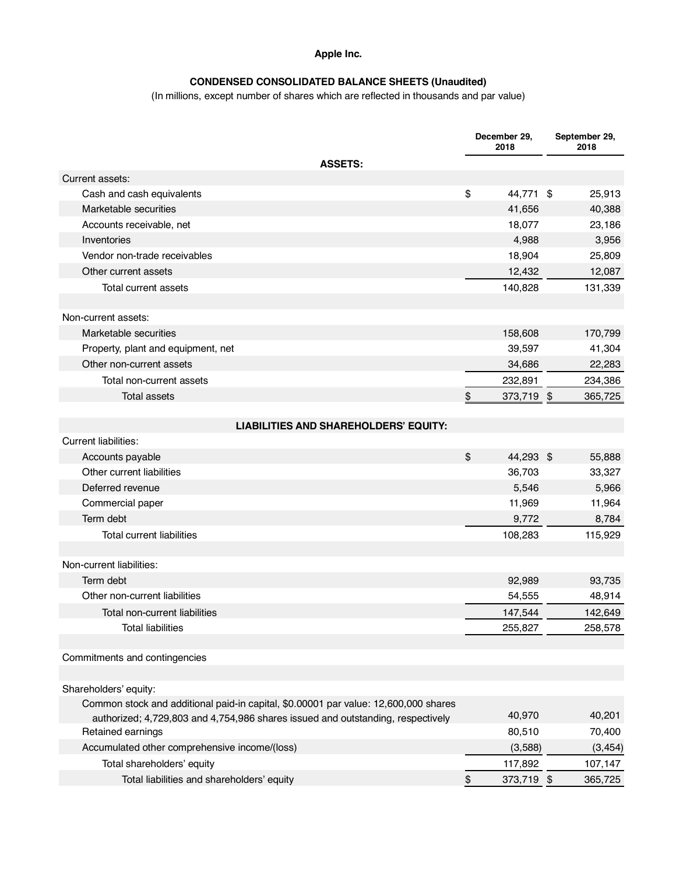### **Apple Inc.**

## **CONDENSED CONSOLIDATED BALANCE SHEETS (Unaudited)**

(In millions, except number of shares which are reflected in thousands and par value)

|                                                                                     | December 29,<br>2018 | September 29,<br>2018 |
|-------------------------------------------------------------------------------------|----------------------|-----------------------|
| <b>ASSETS:</b>                                                                      |                      |                       |
| Current assets:                                                                     |                      |                       |
| Cash and cash equivalents                                                           | \$<br>44,771 \$      | 25,913                |
| Marketable securities                                                               | 41,656               | 40,388                |
| Accounts receivable, net                                                            | 18,077               | 23,186                |
| Inventories                                                                         | 4,988                | 3,956                 |
| Vendor non-trade receivables                                                        | 18,904               | 25,809                |
| Other current assets                                                                | 12,432               | 12,087                |
| Total current assets                                                                | 140,828              | 131,339               |
| Non-current assets:                                                                 |                      |                       |
| Marketable securities                                                               | 158,608              | 170,799               |
| Property, plant and equipment, net                                                  | 39,597               | 41,304                |
| Other non-current assets                                                            | 34,686               | 22,283                |
| Total non-current assets                                                            | 232,891              | 234,386               |
| <b>Total assets</b>                                                                 | \$<br>373,719 \$     | 365,725               |
|                                                                                     |                      |                       |
| <b>LIABILITIES AND SHAREHOLDERS' EQUITY:</b>                                        |                      |                       |
| <b>Current liabilities:</b>                                                         |                      |                       |
| Accounts payable                                                                    | \$<br>44,293 \$      | 55,888                |
| Other current liabilities                                                           | 36,703               | 33,327                |
| Deferred revenue                                                                    | 5,546                | 5,966                 |
| Commercial paper                                                                    | 11,969               | 11,964                |
| Term debt                                                                           | 9,772                | 8,784                 |
| <b>Total current liabilities</b>                                                    | 108,283              | 115,929               |
| Non-current liabilities:                                                            |                      |                       |
| Term debt                                                                           | 92,989               | 93,735                |
| Other non-current liabilities                                                       |                      |                       |
|                                                                                     | 54,555               | 48,914                |
| Total non-current liabilities                                                       | 147,544              | 142,649               |
| <b>Total liabilities</b>                                                            | 255,827              | 258,578               |
| Commitments and contingencies                                                       |                      |                       |
| Shareholders' equity:                                                               |                      |                       |
| Common stock and additional paid-in capital, \$0.00001 par value: 12,600,000 shares |                      |                       |
| authorized; 4,729,803 and 4,754,986 shares issued and outstanding, respectively     | 40,970               | 40,201                |
| Retained earnings                                                                   | 80,510               | 70,400                |
| Accumulated other comprehensive income/(loss)                                       | (3,588)              | (3, 454)              |
| Total shareholders' equity                                                          | 117,892              | 107,147               |
| Total liabilities and shareholders' equity                                          | \$<br>373,719 \$     | 365,725               |